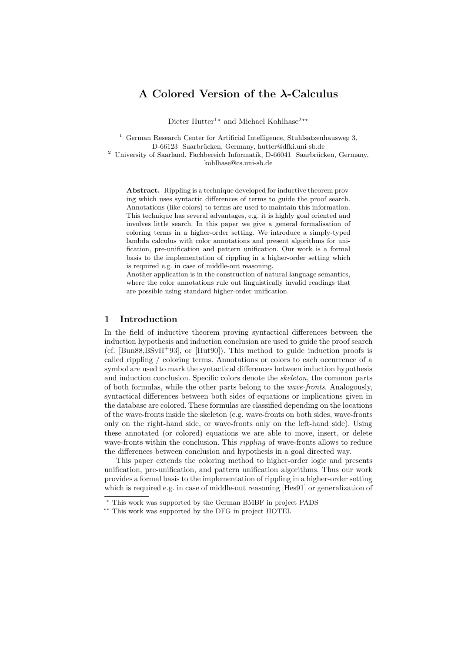# A Colored Version of the λ-Calculus

Dieter Hutter<sup>1</sup><sup>★</sup> and Michael Kohlhase<sup>2</sup><sup>★★</sup>

<sup>1</sup> German Research Center for Artificial Intelligence, Stuhlsatzenhausweg 3, D-66123 Saarbrücken, Germany, hutter@dfki.uni-sb.de

 $^2$  University of Saarland, Fachbereich Informatik, D-66041 Saarbrücken, Germany, kohlhase@cs.uni-sb.de

Abstract. Rippling is a technique developed for inductive theorem proving which uses syntactic differences of terms to guide the proof search. Annotations (like colors) to terms are used to maintain this information. This technique has several advantages, e.g. it is highly goal oriented and involves little search. In this paper we give a general formalisation of coloring terms in a higher-order setting. We introduce a simply-typed lambda calculus with color annotations and present algorithms for unification, pre-unification and pattern unification. Our work is a formal basis to the implementation of rippling in a higher-order setting which is required e.g. in case of middle-out reasoning.

Another application is in the construction of natural language semantics, where the color annotations rule out linguistically invalid readings that are possible using standard higher-order unification.

# 1 Introduction

In the field of inductive theorem proving syntactical differences between the induction hypothesis and induction conclusion are used to guide the proof search (cf. [Bun88,  $BSvH+93$ ], or [Hut90]). This method to guide induction proofs is called rippling / coloring terms. Annotations or colors to each occurrence of a symbol are used to mark the syntactical differences between induction hypothesis and induction conclusion. Specific colors denote the skeleton, the common parts of both formulas, while the other parts belong to the wave-fronts. Analogously, syntactical differences between both sides of equations or implications given in the database are colored. These formulas are classified depending on the locations of the wave-fronts inside the skeleton (e.g. wave-fronts on both sides, wave-fronts only on the right-hand side, or wave-fronts only on the left-hand side). Using these annotated (or colored) equations we are able to move, insert, or delete wave-fronts within the conclusion. This *rippling* of wave-fronts allows to reduce the differences between conclusion and hypothesis in a goal directed way.

This paper extends the coloring method to higher-order logic and presents unification, pre-unification, and pattern unification algorithms. Thus our work provides a formal basis to the implementation of rippling in a higher-order setting which is required e.g. in case of middle-out reasoning [Hes91] or generalization of

<sup>⋆</sup> This work was supported by the German BMBF in project PADS

<sup>⋆⋆</sup> This work was supported by the DFG in project HOTEL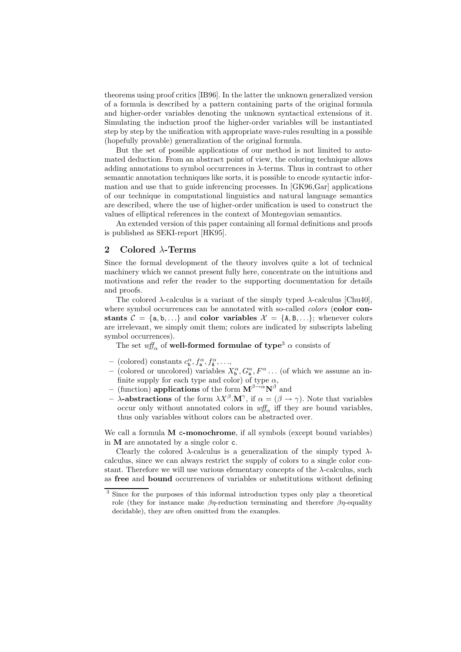theorems using proof critics [IB96]. In the latter the unknown generalized version of a formula is described by a pattern containing parts of the original formula and higher-order variables denoting the unknown syntactical extensions of it. Simulating the induction proof the higher-order variables will be instantiated step by step by the unification with appropriate wave-rules resulting in a possible (hopefully provable) generalization of the original formula.

But the set of possible applications of our method is not limited to automated deduction. From an abstract point of view, the coloring technique allows adding annotations to symbol occurrences in  $\lambda$ -terms. Thus in contrast to other semantic annotation techniques like sorts, it is possible to encode syntactic information and use that to guide inferencing processes. In [GK96,Gar] applications of our technique in computational linguistics and natural language semantics are described, where the use of higher-order unification is used to construct the values of elliptical references in the context of Montegovian semantics.

An extended version of this paper containing all formal definitions and proofs is published as SEKI-report [HK95].

# 2 Colored λ-Terms

Since the formal development of the theory involves quite a lot of technical machinery which we cannot present fully here, concentrate on the intuitions and motivations and refer the reader to the supporting documentation for details and proofs.

The colored  $\lambda$ -calculus is a variant of the simply typed  $\lambda$ -calculus [Chu40], where symbol occurrences can be annotated with so-called *colors* (color constants  $C = \{a, b, ...\}$  and color variables  $\mathcal{X} = \{A, B, ...\}$ ; whenever colors are irrelevant, we simply omit them; colors are indicated by subscripts labeling symbol occurrences).

The set  $\psi f_{\alpha}$  of **well-formed formulae of type**<sup>3</sup>  $\alpha$  consists of

- (colored) constants  $c_{\mathbf{b}}^{\alpha}, f_{\mathbf{a}}^{\alpha}, f_{\mathbf{A}}^{\alpha}, \ldots,$
- (colored or uncolored) variables  $X^{\alpha}_{\mathbf{b}}, G^{\alpha}_{\mathbf{a}}, F^{\alpha} \dots$  (of which we assume an infinite supply for each type and color) of type  $\alpha$ ,
- (function) applications of the form  $\mathbf{M}^{\beta\rightarrow\alpha}\mathbf{N}^{\beta}$  and
- $\sim \lambda$ -abstractions of the form  $\lambda X^{\beta}$ . M<sup> $\gamma$ </sup>, if  $\alpha = (\beta \to \gamma)$ . Note that variables occur only without annotated colors in  $\mathit{wff}_{\alpha}$  iff they are bound variables, thus only variables without colors can be abstracted over.

We call a formula M c-monochrome, if all symbols (except bound variables) in M are annotated by a single color c.

Clearly the colored  $\lambda$ -calculus is a generalization of the simply typed  $\lambda$ calculus, since we can always restrict the supply of colors to a single color constant. Therefore we will use various elementary concepts of the  $\lambda$ -calculus, such as free and bound occurrences of variables or substitutions without defining

<sup>&</sup>lt;sup>3</sup> Since for the purposes of this informal introduction types only play a theoretical role (they for instance make  $\beta\eta$ -reduction terminating and therefore  $\beta\eta$ -equality decidable), they are often omitted from the examples.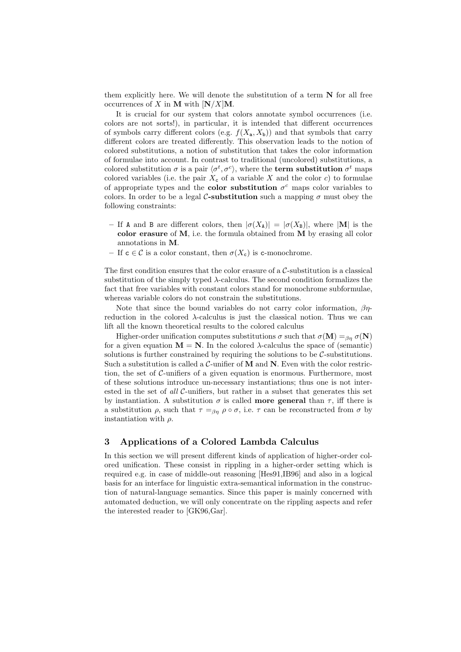them explicitly here. We will denote the substitution of a term  $N$  for all free occurrences of X in M with  $N/X$  M.

It is crucial for our system that colors annotate symbol occurrences (i.e. colors are not sorts!), in particular, it is intended that different occurrences of symbols carry different colors (e.g.  $f(X_a, X_b)$ ) and that symbols that carry different colors are treated differently. This observation leads to the notion of colored substitutions, a notion of substitution that takes the color information of formulae into account. In contrast to traditional (uncolored) substitutions, a colored substitution  $\sigma$  is a pair  $\langle \sigma^t, \sigma^c \rangle$ , where the **term substitution**  $\sigma^t$  maps colored variables (i.e. the pair  $X_c$  of a variable X and the color c) to formulae of appropriate types and the **color substitution**  $\sigma^c$  maps color variables to colors. In order to be a legal C-substitution such a mapping  $\sigma$  must obey the following constraints:

- If A and B are different colors, then  $|\sigma(X_A)| = |\sigma(X_B)|$ , where |M| is the color erasure of M, i.e. the formula obtained from M by erasing all color annotations in M.
- If  $c \in \mathcal{C}$  is a color constant, then  $\sigma(X_c)$  is c-monochrome.

The first condition ensures that the color erasure of a  $C$ -substitution is a classical substitution of the simply typed  $\lambda$ -calculus. The second condition formalizes the fact that free variables with constant colors stand for monochrome subformulae, whereas variable colors do not constrain the substitutions.

Note that since the bound variables do not carry color information,  $\beta\eta$ reduction in the colored λ-calculus is just the classical notion. Thus we can lift all the known theoretical results to the colored calculus

Higher-order unification computes substitutions  $\sigma$  such that  $\sigma(\mathbf{M}) = \beta \eta \sigma(\mathbf{N})$ for a given equation  $M = N$ . In the colored  $\lambda$ -calculus the space of (semantic) solutions is further constrained by requiring the solutions to be  $C$ -substitutions. Such a substitution is called a  $C$ -unifier of M and N. Even with the color restriction, the set of C-unifiers of a given equation is enormous. Furthermore, most of these solutions introduce un-necessary instantiations; thus one is not interested in the set of all C-unifiers, but rather in a subset that generates this set by instantiation. A substitution  $\sigma$  is called **more general** than  $\tau$ , iff there is a substitution  $\rho$ , such that  $\tau =_{\beta\eta} \rho \circ \sigma$ , i.e.  $\tau$  can be reconstructed from  $\sigma$  by instantiation with  $\rho$ .

# 3 Applications of a Colored Lambda Calculus

In this section we will present different kinds of application of higher-order colored unification. These consist in rippling in a higher-order setting which is required e.g. in case of middle-out reasoning [Hes91,IB96] and also in a logical basis for an interface for linguistic extra-semantical information in the construction of natural-language semantics. Since this paper is mainly concerned with automated deduction, we will only concentrate on the rippling aspects and refer the interested reader to [GK96,Gar].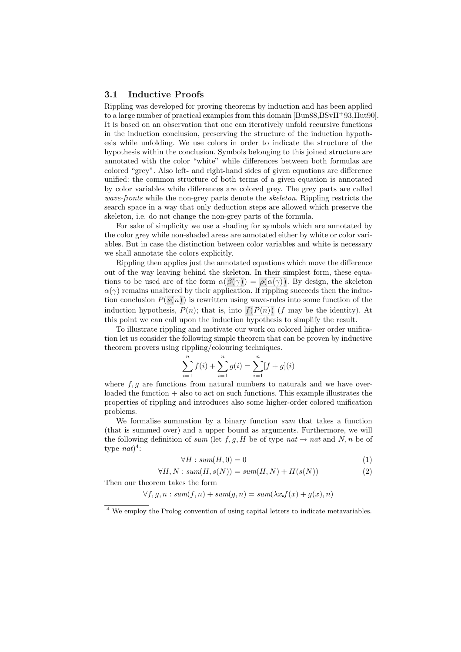# 3.1 Inductive Proofs

Rippling was developed for proving theorems by induction and has been applied to a large number of practical examples from this domain [Bun88,BSvH<sup>+</sup>93,Hut90]. It is based on an observation that one can iteratively unfold recursive functions in the induction conclusion, preserving the structure of the induction hypothesis while unfolding. We use colors in order to indicate the structure of the hypothesis within the conclusion. Symbols belonging to this joined structure are annotated with the color "white" while differences between both formulas are colored "grey". Also left- and right-hand sides of given equations are difference unified: the common structure of both terms of a given equation is annotated by color variables while differences are colored grey. The grey parts are called wave-fronts while the non-grey parts denote the *skeleton*. Rippling restricts the search space in a way that only deduction steps are allowed which preserve the skeleton, i.e. do not change the non-grey parts of the formula.

For sake of simplicity we use a shading for symbols which are annotated by the color grey while non-shaded areas are annotated either by white or color variables. But in case the distinction between color variables and white is necessary we shall annotate the colors explicitly.

Rippling then applies just the annotated equations which move the difference out of the way leaving behind the skeleton. In their simplest form, these equations to be used are of the form  $\alpha(\beta(\gamma)) = \rho(\alpha(\gamma))$ . By design, the skeleton  $\alpha(\gamma)$  remains unaltered by their application. If rippling succeeds then the induction conclusion  $P(s(n))$  is rewritten using wave-rules into some function of the induction hypothesis,  $P(n)$ ; that is, into  $f(P(n))$  (f may be the identity). At this point we can call upon the induction hypothesis to simplify the result.

To illustrate rippling and motivate our work on colored higher order unification let us consider the following simple theorem that can be proven by inductive theorem provers using rippling/colouring techniques.

$$
\sum_{i=1}^{n} f(i) + \sum_{i=1}^{n} g(i) = \sum_{i=1}^{n} [f + g](i)
$$

where  $f, g$  are functions from natural numbers to naturals and we have over- $\alpha$  loaded the function  $+$  also to act on such functions. This example illustrates the properties of rippling and introduces also some higher-order colored unification problems.

We formalise summation by a binary function sum that takes a function (that is summed over) and a upper bound as arguments. Furthermore, we will the following definition of sum (let f, g, H be of type nat  $\rightarrow$  nat and N, n be of type  $nat)^4$ :

$$
\forall H: sum(H,0) = 0 \tag{1}
$$

 $\forall H, N: sum(H, s(N)) = sum(H, N) + H(s(N))$  (2)

Then our theorem takes the form

 $\forall f, g, n : sum(f, n) + sum(g, n) = sum(\lambda x \cdot f(x) + q(x), n)$ 

<sup>4</sup> We employ the Prolog convention of using capital letters to indicate metavariables.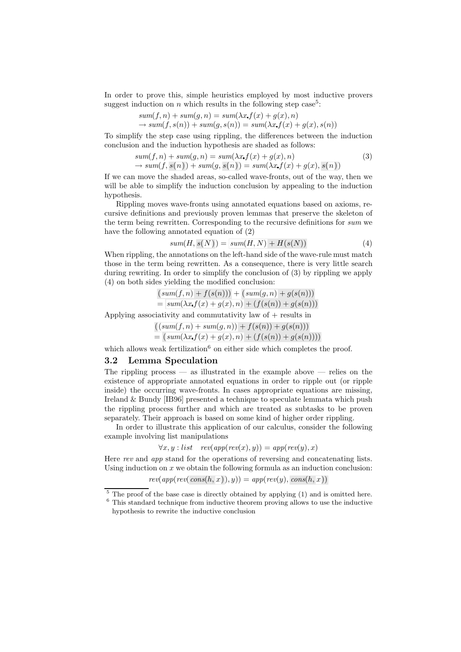In order to prove this, simple heuristics employed by most inductive provers suggest induction on  $n$  which results in the following step case<sup>5</sup>:

$$
sum(f, n) + sum(g, n) = sum(\lambda x f(x) + g(x), n)
$$
  
\n
$$
\rightarrow sum(f, s(n)) + sum(g, s(n)) = sum(\lambda x f(x) + g(x), s(n))
$$

To simplify the step case using rippling, the differences between the induction conclusion and the induction hypothesis are shaded as follows:

$$
sum(f, n) + sum(g, n) = sum(\lambda x f(x) + g(x), n)
$$
  
\n
$$
\rightarrow sum(f, s(n)) + sum(g, s(n)) = sum(\lambda x f(x) + g(x), s(n))
$$
\n(3)

If we can move the shaded areas, so-called wave-fronts, out of the way, then we will be able to simplify the induction conclusion by appealing to the induction hypothesis.

Rippling moves wave-fronts using annotated equations based on axioms, recursive definitions and previously proven lemmas that preserve the skeleton of the term being rewritten. Corresponding to the recursive definitions for sum we have the following annotated equation of (2)

$$
sum(H, s(N)) = sum(H, N) + H(s(N))
$$
\n<sup>(4)</sup>

When rippling, the annotations on the left-hand side of the wave-rule must match those in the term being rewritten. As a consequence, there is very little search during rewriting. In order to simplify the conclusion of (3) by rippling we apply (4) on both sides yielding the modified conclusion:

$$
\frac{(sum(f, n) + f(s(n))) + (sum(g, n) + g(s(n)))}{= sum(\lambda x f(x) + g(x), n) + (f(s(n)) + g(s(n)))}
$$

Applying associativity and commutativity law of  $+$  results in

$$
\frac{((sum(f,n)+sum(g,n)) + f(s(n)) + g(s(n)))}{(sum(\mathbf{x} x f(\mathbf{x}) + g(\mathbf{x}),n) + (f(s(n)) + g(s(n))))}
$$

which allows weak fertilization<sup>6</sup> on either side which completes the proof.

#### 3.2 Lemma Speculation

The rippling process  $-$  as illustrated in the example above  $-$  relies on the existence of appropriate annotated equations in order to ripple out (or ripple inside) the occurring wave-fronts. In cases appropriate equations are missing, Ireland & Bundy [IB96] presented a technique to speculate lemmata which push the rippling process further and which are treated as subtasks to be proven separately. Their approach is based on some kind of higher order rippling.

In order to illustrate this application of our calculus, consider the following example involving list manipulations

$$
\forall x, y : list \quad rev(app(rev(x), y)) = app(rev(y), x)
$$

Here rev and app stand for the operations of reversing and concatenating lists. Using induction on  $x$  we obtain the following formula as an induction conclusion:

$$
rev(app(rev(cons(h, x)), y)) = app(rev(y), cons(h, x))
$$

 $\frac{5}{6}$  The proof of the base case is directly obtained by applying (1) and is omitted here.

<sup>6</sup> This standard technique from inductive theorem proving allows to use the inductive hypothesis to rewrite the inductive conclusion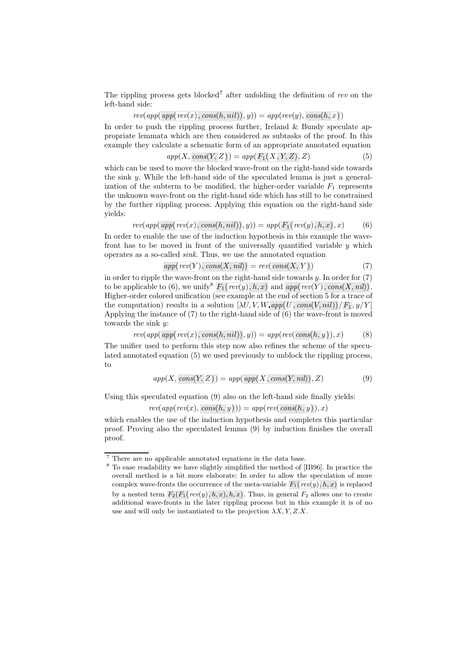The rippling process gets blocked<sup>7</sup> after unfolding the definition of rev on the left-hand side:

$$
rev(app(\mathit{app}(\mathit{rev}(x),\mathit{cons}(h,\mathit{nil})),y)) = \mathit{app}(\mathit{rev}(y),\mathit{cons}(h,\overline{x}))
$$

In order to push the rippling process further, Ireland & Bundy speculate appropriate lemmata which are then considered as subtasks of the proof. In this example they calculate a schematic form of an appropriate annotated equation

$$
app(X, cons(Y, Z)) = app(F1(X, Y, Z), Z)
$$
\n
$$
(5)
$$

which can be used to move the blocked wave-front on the right-hand side towards the sink y. While the left-hand side of the speculated lemma is just a generalization of the subterm to be modified, the higher-order variable  $F_1$  represents the unknown wave-front on the right-hand side which has still to be constrained by the further rippling process. Applying this equation on the right-hand side yields:

$$
rev(app(\text{app}(\text{rev}(x),\text{cons}(h,\text{nil})),y)) = app(F_1(\text{rev}(y),h,x),x) \tag{6}
$$

In order to enable the use of the induction hypothesis in this example the wavefront has to be moved in front of the universally quantified variable  $y$  which operates as a so-called sink. Thus, we use the annotated equation

$$
app(rev(Y), cons(X, nil)) = rev(cons(X, Y))
$$
\n<sup>(7)</sup>

in order to ripple the wave-front on the right-hand side towards  $y$ . In order for  $(7)$ to be applicable to (6), we unify  $F_1(rev(y), h, x)$  and  $app(rev(Y), cons(X, nil))$ . Higher-order colored unification (see example at the end of section 5 for a trace of the computation) results in a solution  $[\lambda U, V, W, app(U, cons(V, nil))/F_1, y/Y]$ Applying the instance of (7) to the right-hand side of (6) the wave-front is moved towards the sink y:

$$
rev(app(\text{app}(\text{rev}(x),\text{cons}(h,\text{nil})),y)) = app(rev(\text{cons}(h,\overline{y})),x)
$$
(8)

The unifier used to perform this step now also refines the scheme of the speculated annotated equation (5) we used previously to unblock the rippling process, to

$$
app(X, cons(Y, Z)) = app(\,app(X, cons(Y, nil)), Z) \tag{9}
$$

Using this speculated equation (9) also on the left-hand side finally yields:

 $rev(app(rev(x), cons(h, y))) = app(rev(cons(h, y)), x)$ 

which enables the use of the induction hypothesis and completes this particular proof. Proving also the speculated lemma (9) by induction finishes the overall proof.

<sup>7</sup> There are no applicable annotated equations in the data base.

<sup>8</sup> To ease readability we have slightly simplified the method of [IB96]. In practice the overall method is a bit more elaborate: In order to allow the speculation of more complex wave-fronts the occurrence of the meta-variable  $F_1(rev(y), h, x)$  is replaced by a nested term  $F_2(F_1(rev(y), h, x), h, x)$ . Thus, in general  $F_2$  allows one to create additional wave-fronts in the later rippling process but in this example it is of no use and will only be instantiated to the projection  $\lambda X, Y, Z, X$ .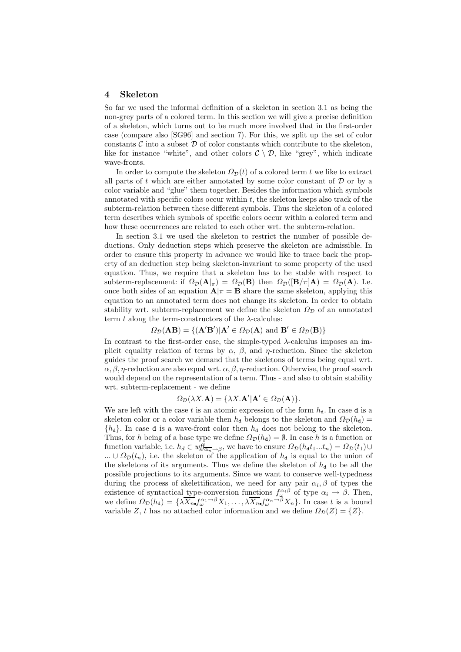### 4 Skeleton

So far we used the informal definition of a skeleton in section 3.1 as being the non-grey parts of a colored term. In this section we will give a precise definition of a skeleton, which turns out to be much more involved that in the first-order case (compare also [SG96] and section 7). For this, we split up the set of color constants  $\mathcal C$  into a subset  $\mathcal D$  of color constants which contribute to the skeleton, like for instance "white", and other colors  $C \setminus D$ , like "grey", which indicate wave-fronts.

In order to compute the skeleton  $\Omega_{\mathcal{D}}(t)$  of a colored term t we like to extract all parts of  $t$  which are either annotated by some color constant of  $D$  or by a color variable and "glue" them together. Besides the information which symbols annotated with specific colors occur within  $t$ , the skeleton keeps also track of the subterm-relation between these different symbols. Thus the skeleton of a colored term describes which symbols of specific colors occur within a colored term and how these occurrences are related to each other wrt. the subterm-relation.

In section 3.1 we used the skeleton to restrict the number of possible deductions. Only deduction steps which preserve the skeleton are admissible. In order to ensure this property in advance we would like to trace back the property of an deduction step being skeleton-invariant to some property of the used equation. Thus, we require that a skeleton has to be stable with respect to subterm-replacement: if  $\Omega_{\mathcal{D}}(A|_{\pi}) = \Omega_{\mathcal{D}}(B)$  then  $\Omega_{\mathcal{D}}(|B/\pi|A) = \Omega_{\mathcal{D}}(A)$ . I.e. once both sides of an equation  $\mathbf{A}|\pi = \mathbf{B}$  share the same skeleton, applying this equation to an annotated term does not change its skeleton. In order to obtain stability wrt. subterm-replacement we define the skeleton  $\Omega_{\mathcal{D}}$  of an annotated term t along the term-constructors of the  $\lambda$ -calculus:

$$
\Omega_{\mathcal{D}}(\mathbf{AB}) = \{ (\mathbf{A}'\mathbf{B}') | \mathbf{A}' \in \Omega_{\mathcal{D}}(\mathbf{A}) \text{ and } \mathbf{B}' \in \Omega_{\mathcal{D}}(\mathbf{B}) \}
$$

In contrast to the first-order case, the simple-typed  $\lambda$ -calculus imposes an implicit equality relation of terms by  $\alpha$ ,  $\beta$ , and  $\eta$ -reduction. Since the skeleton guides the proof search we demand that the skeletons of terms being equal wrt.  $\alpha$ ,  $\beta$ ,  $\eta$ -reduction are also equal wrt.  $\alpha$ ,  $\beta$ ,  $\eta$ -reduction. Otherwise, the proof search would depend on the representation of a term. Thus - and also to obtain stability wrt. subterm-replacement - we define

$$
\Omega_{\mathcal{D}}(\lambda X.\mathbf{A}) = \{\lambda X.\mathbf{A}'|\mathbf{A}' \in \Omega_{\mathcal{D}}(\mathbf{A})\}.
$$

We are left with the case t is an atomic expression of the form  $h_d$ . In case d is a skeleton color or a color variable then  $h_{d}$  belongs to the skeleton and  $\Omega_{\mathcal{D}}(h_{d}) =$  ${h_d}$ . In case d is a wave-front color then  $h_d$  does not belong to the skeleton. Thus, for h being of a base type we define  $\Omega_{\mathcal{D}}(h_{d}) = \emptyset$ . In case h is a function or function variable, i.e.  $h_d \in \text{wff}_{\overline{\alpha_n} \to \beta}$ , we have to ensure  $\Omega_{\mathcal{D}}(h_d t_1...t_n) = \Omega_{\mathcal{D}}(t_1) \cup$ ...  $\cup \Omega_{\mathcal{D}}(t_n)$ , i.e. the skeleton of the application of  $h_{d}$  is equal to the union of the skeletons of its arguments. Thus we define the skeleton of  $h_d$  to be all the possible projections to its arguments. Since we want to conserve well-typedness during the process of skelettification, we need for any pair  $\alpha_i, \beta$  of types the existence of syntactical type-conversion functions  $f_{\alpha}^{\alpha_i\beta}$  of type  $\alpha_i \to \beta$ . Then, we define  $\Omega_{\mathcal{D}}(h_{d}) = \{ \lambda \overline{X_n} f_{\omega}^{\alpha_1 \rightarrow \beta} X_1, \ldots, \lambda \overline{X_n} f_{\omega}^{\alpha_n \rightarrow \beta} X_n \}.$  In case t is a bound variable Z, t has no attached color information and we define  $\Omega_{\mathcal{D}}(Z) = \{Z\}.$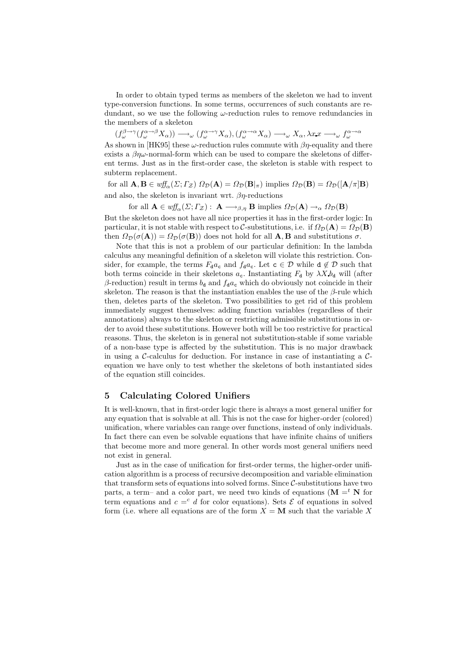In order to obtain typed terms as members of the skeleton we had to invent type-conversion functions. In some terms, occurrences of such constants are redundant, so we use the following  $\omega$ -reduction rules to remove redundancies in the members of a skeleton

 $(f_{\omega}^{\beta \to \gamma}(f_{\omega}^{\alpha \to \beta}X_{\alpha})) \longrightarrow_{\omega} (f_{\omega}^{\alpha \to \gamma}X_{\alpha}), (f_{\omega}^{\alpha \to \alpha}X_{\alpha}) \longrightarrow_{\omega} X_{\alpha}, \lambda x.x \longrightarrow_{\omega} f_{\omega}^{\alpha \to \alpha}$ As shown in [HK95] these  $\omega$ -reduction rules commute with  $\beta\eta$ -equality and there exists a  $\beta n\omega$ -normal-form which can be used to compare the skeletons of different terms. Just as in the first-order case, the skeleton is stable with respect to subterm replacement.

for all  $\mathbf{A}, \mathbf{B} \in \text{wff}_{\alpha}(\Sigma; \Gamma_{\mathcal{Z}})$   $\Omega_{\mathcal{D}}(\mathbf{A}) = \Omega_{\mathcal{D}}(\mathbf{B}|_{\pi})$  implies  $\Omega_{\mathcal{D}}(\mathbf{B}) = \Omega_{\mathcal{D}}([\mathbf{A}/\pi]\mathbf{B})$ and also, the skeleton is invariant wrt.  $\beta \eta$ -reductions

for all  $\mathbf{A} \in \text{wff}_{\alpha}(\Sigma; \Gamma_{\mathcal{Z}}): \mathbf{A} \longrightarrow_{\beta,\eta} \mathbf{B}$  implies  $\Omega_{\mathcal{D}}(\mathbf{A}) \longrightarrow_{\alpha} \Omega_{\mathcal{D}}(\mathbf{B})$ But the skeleton does not have all nice properties it has in the first-order logic: In particular, it is not stable with respect to C-substitutions, i.e. if  $\Omega_{\mathcal{D}}(A) = \Omega_{\mathcal{D}}(B)$ then  $\Omega_{\mathcal{D}}(\sigma(\mathbf{A})) = \Omega_{\mathcal{D}}(\sigma(\mathbf{B}))$  does not hold for all  $\mathbf{A}, \mathbf{B}$  and substitutions  $\sigma$ .

Note that this is not a problem of our particular definition: In the lambda calculus any meaningful definition of a skeleton will violate this restriction. Consider, for example, the terms  $F_d a_c$  and  $f_d a_c$ . Let  $c \in \mathcal{D}$  while  $d \notin \mathcal{D}$  such that both terms coincide in their skeletons  $a_c$ . Instantiating  $F_d$  by  $\lambda X b_d$  will (after β-reduction) result in terms  $b_d$  and  $f_d a_c$  which do obviously not coincide in their skeleton. The reason is that the instantiation enables the use of the  $\beta$ -rule which then, deletes parts of the skeleton. Two possibilities to get rid of this problem immediately suggest themselves: adding function variables (regardless of their annotations) always to the skeleton or restricting admissible substitutions in order to avoid these substitutions. However both will be too restrictive for practical reasons. Thus, the skeleton is in general not substitution-stable if some variable of a non-base type is affected by the substitution. This is no major drawback in using a C-calculus for deduction. For instance in case of instantiating a  $\mathcal{C}$ equation we have only to test whether the skeletons of both instantiated sides of the equation still coincides.

## 5 Calculating Colored Unifiers

It is well-known, that in first-order logic there is always a most general unifier for any equation that is solvable at all. This is not the case for higher-order (colored) unification, where variables can range over functions, instead of only individuals. In fact there can even be solvable equations that have infinite chains of unifiers that become more and more general. In other words most general unifiers need not exist in general.

Just as in the case of unification for first-order terms, the higher-order unification algorithm is a process of recursive decomposition and variable elimination that transform sets of equations into solved forms. Since C-substitutions have two parts, a term– and a color part, we need two kinds of equations  $(M = t N$  for term equations and  $c = c$  d for color equations). Sets  $\mathcal E$  of equations in solved form (i.e. where all equations are of the form  $X = M$  such that the variable X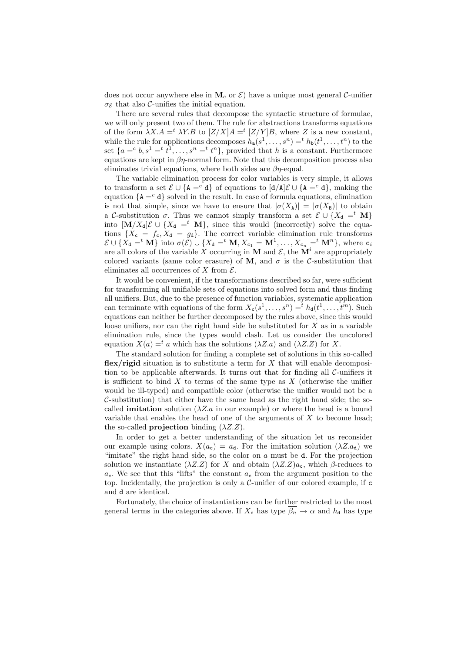does not occur anywhere else in  $\mathbf{M}_c$  or  $\mathcal{E}$ ) have a unique most general C-unifier  $\sigma_{\mathcal{E}}$  that also C-unifies the initial equation.

There are several rules that decompose the syntactic structure of formulae, we will only present two of them. The rule for abstractions transforms equations of the form  $\lambda X.A = t \lambda Y.B$  to  $[Z/X]A = t [Z/Y]B$ , where Z is a new constant, while the rule for applications decomposes  $h_a(s^1, \ldots, s^n) = ^t h_b(t^1, \ldots, t^n)$  to the set  $\{a = c \, b, s^1 = t^1, \ldots, s^n = t^n\}$ , provided that h is a constant. Furthermore equations are kept in  $\beta\eta$ -normal form. Note that this decomposition process also eliminates trivial equations, where both sides are  $\beta$ *n*-equal.

The variable elimination process for color variables is very simple, it allows to transform a set  $\mathcal{E} \cup \{A = c \}$  of equations to  $\left[\frac{d}{A}\right]\mathcal{E} \cup \{A = c \}$ , making the equation  ${A = c \ d}$  solved in the result. In case of formula equations, elimination is not that simple, since we have to ensure that  $|\sigma(X_A)| = |\sigma(X_B)|$  to obtain a C-substitution  $\sigma$ . Thus we cannot simply transform a set  $\mathcal{E} \cup \{X_d =^t M\}$ into  $[\mathbf{M}/X_{d}]\mathcal{E} \cup \{X_{d} =$ <sup>t</sup> **M**}, since this would (incorrectly) solve the equations  $\{X_c = f_c, X_d = g_d\}$ . The correct variable elimination rule transforms  $\mathcal{E} \cup \{X_{d} =^{t} \mathbf{M}\}\$ into  $\sigma(\mathcal{E}) \cup \{X_{d} =^{t} \mathbf{M}, X_{c_1} = \mathbf{M}^1, \ldots, X_{c_n} =^{t} \mathbf{M}^n\}$ , where  $c_i$ are all colors of the variable X occurring in M and  $\mathcal{E}$ , the  $\mathbf{M}^i$  are appropriately colored variants (same color erasure) of M, and  $\sigma$  is the C-substitution that eliminates all occurrences of  $X$  from  $\mathcal{E}$ .

It would be convenient, if the transformations described so far, were sufficient for transforming all unifiable sets of equations into solved form and thus finding all unifiers. But, due to the presence of function variables, systematic application can terminate with equations of the form  $X_c(s^1, \ldots, s^n) =^t h_d(t^1, \ldots, t^m)$ . Such equations can neither be further decomposed by the rules above, since this would loose unifiers, nor can the right hand side be substituted for  $X$  as in a variable elimination rule, since the types would clash. Let us consider the uncolored equation  $X(a) = a$  which has the solutions  $(\lambda Z.a)$  and  $(\lambda Z.Z)$  for X.

The standard solution for finding a complete set of solutions in this so-called flex/rigid situation is to substitute a term for  $X$  that will enable decomposition to be applicable afterwards. It turns out that for finding all  $C$ -unifiers it is sufficient to bind  $X$  to terms of the same type as  $X$  (otherwise the unifier would be ill-typed) and compatible color (otherwise the unifier would not be a  $\mathcal{C}$ -substitution) that either have the same head as the right hand side; the socalled **imitation** solution ( $\lambda Z.a$  in our example) or where the head is a bound variable that enables the head of one of the arguments of  $X$  to become head; the so-called **projection** binding  $(\lambda Z.Z)$ .

In order to get a better understanding of the situation let us reconsider our example using colors.  $X(a_c) = a_d$ . For the imitation solution  $(\lambda Z.a_d)$  we "imitate" the right hand side, so the color on a must be d. For the projection solution we instantiate  $(\lambda Z.Z)$  for X and obtain  $(\lambda Z.Z)_{a_c}$ , which  $\beta$ -reduces to  $a_c$ . We see that this "lifts" the constant  $a_c$  from the argument position to the top. Incidentally, the projection is only a  $\mathcal{C}\text{-uniform}$  our colored example, if c and d are identical.

Fortunately, the choice of instantiations can be further restricted to the most general terms in the categories above. If  $X_c$  has type  $\overline{\beta_n} \to \alpha$  and  $h_d$  has type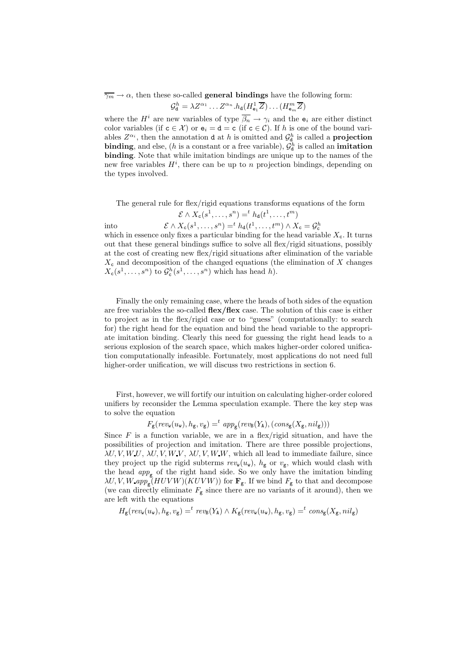$\overline{\gamma_m} \to \alpha$ , then these so-called **general bindings** have the following form:  $\mathcal{G}_{\mathsf{d}}^h = \lambda Z^{\alpha_1} \dots Z^{\alpha_n}.h_{\mathsf{d}}(H^1_{\mathsf{e}_1} \overline{Z}) \dots (H^m_{\mathsf{e}_m} \overline{Z})$ 

where the  $H^i$  are new variables of type  $\overline{\beta_n} \to \gamma_i$  and the  $e_i$  are either distinct color variables (if  $c \in \mathcal{X}$ ) or  $e_i = d = c$  (if  $c \in \mathcal{C}$ ). If h is one of the bound variables  $Z^{\alpha_i}$ , then the annotation **d** at h is omitted and  $\mathcal{G}_{\mathbf{d}}^h$  is called a **projection** binding, and else, (*h* is a constant or a free variable),  $\mathcal{G}_d^h$  is called an imitation binding. Note that while imitation bindings are unique up to the names of the new free variables  $H^i$ , there can be up to n projection bindings, depending on the types involved.

The general rule for flex/rigid equations transforms equations of the form

$$
\mathcal{E} \wedge X_{\mathsf{c}}(s^1, \dots, s^n) = ^t h_{\mathsf{d}}(t^1, \dots, t^m)
$$

$$
\mathcal{E} \wedge X_{\mathsf{c}}(s^1, \dots, s^n) = ^t h_{\mathsf{d}}(t^1, \dots, t^m) \wedge X_{\mathsf{c}} = \mathcal{G}_{\mathsf{c}}^h
$$

 $int_0$ 

which in essence only fixes a particular binding for the head variable  $X_c$ . It turns out that these general bindings suffice to solve all flex/rigid situations, possibly at the cost of creating new flex/rigid situations after elimination of the variable  $X_c$  and decomposition of the changed equations (the elimination of X changes  $X_c(s^1, \ldots, s^n)$  to  $\mathcal{G}_c^h(s^1, \ldots, s^n)$  which has head h).

Finally the only remaining case, where the heads of both sides of the equation are free variables the so-called flex/flex case. The solution of this case is either to project as in the flex/rigid case or to "guess" (computationally: to search for) the right head for the equation and bind the head variable to the appropriate imitation binding. Clearly this need for guessing the right head leads to a serious explosion of the search space, which makes higher-order colored unification computationally infeasible. Fortunately, most applications do not need full higher-order unification, we will discuss two restrictions in section 6.

First, however, we will fortify our intuition on calculating higher-order colored unifiers by reconsider the Lemma speculation example. There the key step was to solve the equation

$$
F_{\mathsf{g}}(\mathit{rev}_{\mathtt{w}}(u_{\mathtt{w}}), h_{\mathtt{g}}, v_{\mathtt{g}}) =^t \mathit{app}_{\mathtt{g}}(\mathit{rev}_{\mathtt{B}}(Y_{\mathtt{A}}), (\mathit{cons}_{\mathtt{g}}(X_{\mathtt{g}}, nil_{\mathtt{g}})))
$$

Since  $F$  is a function variable, we are in a flex/rigid situation, and have the possibilities of projection and imitation. There are three possible projections,  $\lambda U, V, W, U, \lambda U, V, W, V, W, W, W$ , which all lead to immediate failure, since they project up the rigid subterms  $rev_w(u_w)$ ,  $h_g$  or  $v_g$ , which would clash with the head  $app_{\mathsf{g}}$  of the right hand side. So we only have the imitation binding  $\lambda U, V, W, app_{\mathsf{g}}(HUVW)(KUVW))$  for  $\mathbf{F}_{\mathsf{g}}$ . If we bind  $F_{\mathsf{g}}$  to that and decompose (we can directly eliminate  $F_{\rm g}$  since there are no variants of it around), then we are left with the equations

$$
H_{\mathsf{g}}(\mathit{rev}_\mathtt{w}(u_\mathtt{w}),h_\mathtt{g},v_\mathtt{g}) = ^t\mathit{rev}_\mathtt{B}(Y_\mathtt{A}) \wedge K_\mathtt{g}(\mathit{rev}_\mathtt{w}(u_\mathtt{w}),h_\mathtt{g},v_\mathtt{g}) = ^t\mathit{cons}_\mathtt{g}(X_\mathtt{g},nil_\mathtt{g})
$$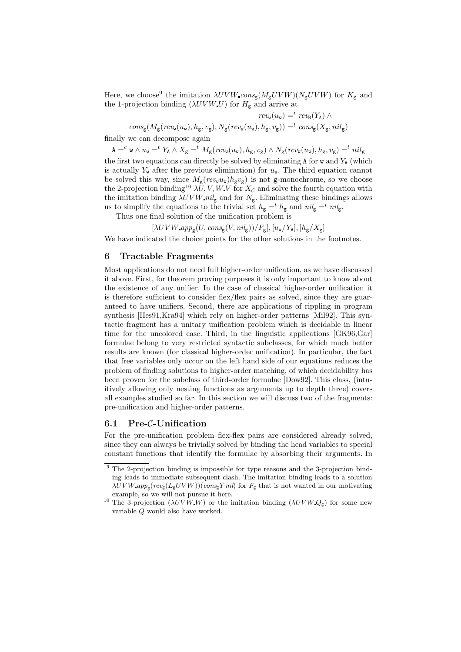Here, we choose<sup>9</sup> the imitation  $\lambda UVW$  cons<sub>g</sub>( $M_{\rm g}UVW$ )( $N_{\rm g}UVW$ ) for  $K_{\rm g}$  and the 1-projection binding  $(\lambda UVW\,U)$  for  $H_{\mathsf{g}}$  and arrive at

 $rev_{\mathbf{w}}(u_{\mathbf{w}}) =^t rev_{\mathbf{B}}(Y_{\mathbf{A}}) \wedge$  $cons_{\mathsf{g}}(M_{\mathsf{g}}(rev_{\mathsf{w}}(u_{\mathsf{w}}), h_{\mathsf{g}}, v_{\mathsf{g}}), N_{\mathsf{g}}(rev_{\mathsf{w}}(u_{\mathsf{w}}), h_{\mathsf{g}}, v_{\mathsf{g}})) = ^{t}cons_{\mathsf{g}}(X_{\mathsf{g}}, nil_{\mathsf{g}})$ 

finally we can decompose again

 $\mathtt{A} =^c \mathtt{w} \wedge u_\mathtt{w} =^t Y_\mathtt{A} \wedge X_\mathtt{g} =^t M_\mathtt{g}(rev_\mathtt{w}(u_\mathtt{w}), h_\mathtt{g}, v_\mathtt{g}) \wedge N_\mathtt{g}(rev_\mathtt{w}(u_\mathtt{w}), h_\mathtt{g}, v_\mathtt{g}) =^t nil_\mathtt{g}$ 

the first two equations can directly be solved by eliminating  $A$  for  $w$  and  $Y_A$  (which is actually  $Y_{w}$  after the previous elimination) for  $u_{w}$ . The third equation cannot be solved this way, since  $M_g(rev_wu_w)h_gv_g)$  is not g-monochrome, so we choose the 2-projection binding<sup>10</sup>  $\lambda U, V, W, V$  for  $X_c$  and solve the fourth equation with the imitation binding  $\lambda UVW$  nil<sub>g</sub> and for  $N_g$ . Eliminating these bindings allows us to simplify the equations to the trivial set  $h_{\mathbf{g}} = t h_{\mathbf{g}}$  and  $n i l_{\mathbf{g}} = t n i l_{\mathbf{g}}$ .

Thus one final solution of the unification problem is

 $[\lambda UVW$   $app_{\mathsf{g}}(U, cons_{\mathsf{g}}(V, nil_{\mathsf{g}}))/F_{\mathsf{g}}], [u_{\mathsf{w}}/Y_{\mathsf{A}}], [h_{\mathsf{g}}/X_{\mathsf{g}}]$ 

We have indicated the choice points for the other solutions in the footnotes.

#### 6 Tractable Fragments

Most applications do not need full higher-order unification, as we have discussed it above. First, for theorem proving purposes it is only important to know about the existence of any unifier. In the case of classical higher-order unification it is therefore sufficient to consider flex/flex pairs as solved, since they are guaranteed to have unifiers. Second, there are applications of rippling in program synthesis [Hes91,Kra94] which rely on higher-order patterns [Mil92]. This syntactic fragment has a unitary unification problem which is decidable in linear time for the uncolored case. Third, in the linguistic applications [GK96,Gar] formulae belong to very restricted syntactic subclasses, for which much better results are known (for classical higher-order unification). In particular, the fact that free variables only occur on the left hand side of our equations reduces the problem of finding solutions to higher-order matching, of which decidability has been proven for the subclass of third-order formulae [Dow92]. This class, (intuitively allowing only nesting functions as arguments up to depth three) covers all examples studied so far. In this section we will discuss two of the fragments: pre-unification and higher-order patterns.

### 6.1 Pre-C-Unification

For the pre-unification problem flex-flex pairs are considered already solved, since they can always be trivially solved by binding the head variables to special constant functions that identify the formulae by absorbing their arguments. In

<sup>&</sup>lt;sup>9</sup> The 2-projection binding is impossible for type reasons and the 3-projection binding leads to immediate subsequent clash. The imitation binding leads to a solution  $\lambda UVW$   $app_{\rm g}(rev_{\rm g}(L_{\rm g}UVW))$ (cons<sub>g</sub>Y nil) for  $F_{\rm g}$  that is not wanted in our motivating example, so we will not pursue it here.

<sup>&</sup>lt;sup>10</sup> The 3-projection ( $\lambda UVWW$ ) or the imitation binding ( $\lambda UVWQ_g$ ) for some new variable Q would also have worked.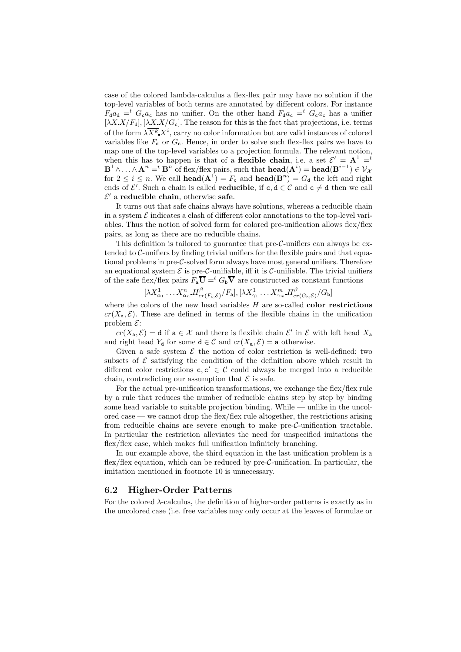case of the colored lambda-calculus a flex-flex pair may have no solution if the top-level variables of both terms are annotated by different colors. For instance  $F_{d}a_{d} =$ <sup>t</sup>  $G_{c}a_{c}$  has no unifier. On the other hand  $F_{d}a_{c} =$ <sup>t</sup>  $G_{c}a_{c}$  has a unifier  $[\lambda X] K_{\mathbf{d}}$ ,  $[\lambda X] K_{\mathbf{c}}$ . The reason for this is the fact that projections, i.e. terms of the form  $\lambda \overline{X^k} X^i$ , carry no color information but are valid instances of colored variables like  $F_d$  or  $G_c$ . Hence, in order to solve such flex-flex pairs we have to map one of the top-level variables to a projection formula. The relevant notion, when this has to happen is that of a **flexible chain**, i.e. a set  $\mathcal{E}' = \mathbf{A}^1 = t$  $\mathbf{B}^1 \wedge \ldots \wedge \mathbf{A}^n =^t \mathbf{B}^n$  of flex/flex pairs, such that  $\mathbf{head}(\mathbf{A}^i) = \mathbf{head}(\mathbf{B}^{i-1}) \in \mathcal{V}_{\mathcal{X}}$ for  $2 \leq i \leq n$ . We call **head** $(A^T) = F_c$  and **head** $(B^n) = G_d$  the left and right ends of  $\mathcal{E}'$ . Such a chain is called **reducible**, if  $c, d \in \mathcal{C}$  and  $c \neq d$  then we call  $\mathcal{E}'$  a reducible chain, otherwise safe.

It turns out that safe chains always have solutions, whereas a reducible chain in a system  $\mathcal E$  indicates a clash of different color annotations to the top-level variables. Thus the notion of solved form for colored pre-unification allows flex/flex pairs, as long as there are no reducible chains.

This definition is tailored to guarantee that pre- $\mathcal{C}\text{-}$ unifiers can always be extended to  $C$ -unifiers by finding trivial unifiers for the flexible pairs and that equational problems in pre-C-solved form always have most general unifiers. Therefore an equational system  $\mathcal E$  is pre-C-unifiable, iff it is C-unifiable. The trivial unifiers of the safe flex/flex pairs  $F_{a}\overline{U} = t G_{b}\overline{V}$  are constructed as constant functions

$$
[\lambda X^1_{\alpha_1} \dots X^n_{\alpha_n} H^\beta_{cr(F_{\mathbf{a}}, \mathcal{E})}/F_{\mathbf{a}}], [\lambda X^1_{\gamma_1} \dots X^m_{\gamma_m} H^\beta_{cr(G_{\mathbf{b}}, \mathcal{E})}/G_{\mathbf{b}}]
$$

where the colors of the new head variables  $H$  are so-called **color restrictions**  $cr(X_{a}, \mathcal{E})$ . These are defined in terms of the flexible chains in the unification problem  $\mathcal{E}$ :

 $cr(X_{a}, \mathcal{E}) = d$  if  $a \in \mathcal{X}$  and there is flexible chain  $\mathcal{E}'$  in  $\mathcal{E}$  with left head  $X_{a}$ and right head  $Y_d$  for some  $d \in \mathcal{C}$  and  $cr(X_a, \mathcal{E}) = a$  otherwise.

Given a safe system  $\mathcal E$  the notion of color restriction is well-defined: two subsets of  $\mathcal E$  satisfying the condition of the definition above which result in different color restrictions  $c, c' \in \mathcal{C}$  could always be merged into a reducible chain, contradicting our assumption that  $\mathcal E$  is safe.

For the actual pre-unification transformations, we exchange the flex/flex rule by a rule that reduces the number of reducible chains step by step by binding some head variable to suitable projection binding. While — unlike in the uncolored case — we cannot drop the flex/flex rule altogether, the restrictions arising from reducible chains are severe enough to make pre-C-unification tractable. In particular the restriction alleviates the need for unspecified imitations the flex/flex case, which makes full unification infinitely branching.

In our example above, the third equation in the last unification problem is a flex/flex equation, which can be reduced by  $pre-C$ -unification. In particular, the imitation mentioned in footnote 10 is unnecessary.

### 6.2 Higher-Order Patterns

For the colored  $\lambda$ -calculus, the definition of higher-order patterns is exactly as in the uncolored case (i.e. free variables may only occur at the leaves of formulae or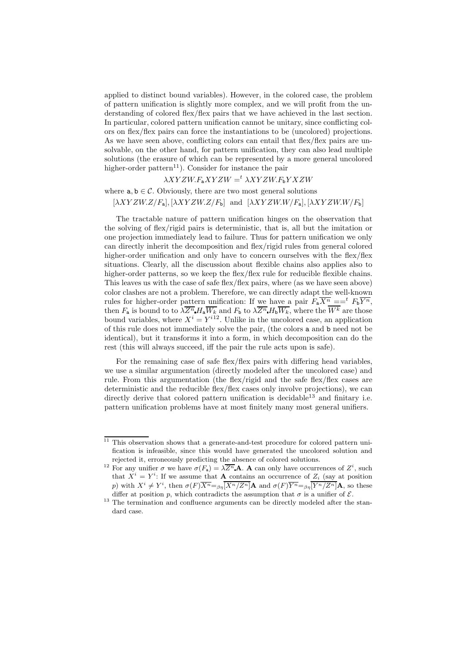applied to distinct bound variables). However, in the colored case, the problem of pattern unification is slightly more complex, and we will profit from the understanding of colored flex/flex pairs that we have achieved in the last section. In particular, colored pattern unification cannot be unitary, since conflicting colors on flex/flex pairs can force the instantiations to be (uncolored) projections. As we have seen above, conflicting colors can entail that flex/flex pairs are unsolvable, on the other hand, for pattern unification, they can also lead multiple solutions (the erasure of which can be represented by a more general uncolored higher-order pattern<sup>11</sup>). Consider for instance the pair

# $\lambda XYZW.F_{\mathbf{a}}XYZW =^t \lambda XYZW.F_{\mathbf{b}}YXZW$

# where  $a, b \in \mathcal{C}$ . Obviously, there are two most general solutions

 $[\lambda XYZW.Z/F_a], [\lambda XYZW.Z/F_b]$  and  $[\lambda XYZW.W/F_a], [\lambda XYZW.W/F_b]$ 

The tractable nature of pattern unification hinges on the observation that the solving of flex/rigid pairs is deterministic, that is, all but the imitation or one projection immediately lead to failure. Thus for pattern unification we only can directly inherit the decomposition and flex/rigid rules from general colored higher-order unification and only have to concern ourselves with the flex/flex situations. Clearly, all the discussion about flexible chains also applies also to higher-order patterns, so we keep the flex/flex rule for reducible flexible chains. This leaves us with the case of safe flex/flex pairs, where (as we have seen above) color clashes are not a problem. Therefore, we can directly adapt the well-known rules for higher-order pattern unification: If we have a pair  $F_{a}\overline{X^{n}} = =^{t} F_{b}\overline{Y^{n}}$ , then  $F_a$  is bound to to  $\lambda \overline{Z^n} H_a \overline{W_k}$  and  $F_b$  to  $\lambda \overline{Z^n} H_b \overline{W_k}$ , where the  $W^k$  are those bound variables, where  $X^{i} = Y^{i12}$ . Unlike in the uncolored case, an application of this rule does not immediately solve the pair, (the colors a and b need not be identical), but it transforms it into a form, in which decomposition can do the rest (this will always succeed, iff the pair the rule acts upon is safe).

For the remaining case of safe flex/flex pairs with differing head variables, we use a similar argumentation (directly modeled after the uncolored case) and rule. From this argumentation (the flex/rigid and the safe flex/flex cases are deterministic and the reducible flex/flex cases only involve projections), we can directly derive that colored pattern unification is decidable<sup>13</sup> and finitary i.e. pattern unification problems have at most finitely many most general unifiers.

 $\frac{11}{11}$  This observation shows that a generate-and-test procedure for colored pattern unification is infeasible, since this would have generated the uncolored solution and rejected it, erroneously predicting the absence of colored solutions.

<sup>&</sup>lt;sup>12</sup> For any unifier  $\sigma$  we have  $\sigma(F_a) = \lambda \overline{Z^n} \mathbf{A}$ . **A** can only have occurrences of  $Z^i$ , such that  $X^i = Y^i$ : If we assume that **A** contains an occurrence of  $Z_i$  (say at position p) with  $X^i \neq Y^i$ , then  $\sigma(F)\overline{X^n} = \beta \eta \overline{[X^n/Z^n]}$  A and  $\sigma(F)\overline{Y^n} = \beta \eta \overline{[Y^n/Z^n]}$  A, so these differ at position p, which contradicts the assumption that  $\sigma$  is a unifier of  $\mathcal{E}$ .

<sup>&</sup>lt;sup>13</sup> The termination and confluence arguments can be directly modeled after the standard case.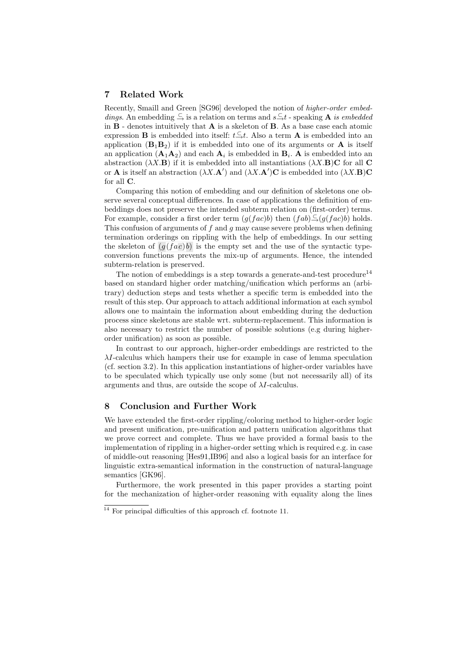# 7 Related Work

Recently, Smaill and Green [SG96] developed the notion of higher-order embeddings. An embedding  $\subseteq$  is a relation on terms and  $s \subseteq t$  - speaking **A** is embedded in  $B$  - denotes intuitively that  $A$  is a skeleton of  $B$ . As a base case each atomic expression **B** is embedded into itself:  $t \xrightarrow{\subset} t$ . Also a term **A** is embedded into an application  $(\mathbf{B}_1\mathbf{B}_2)$  if it is embedded into one of its arguments or **A** is itself an application  $(\mathbf{A}_1 \mathbf{A}_2)$  and each  $\mathbf{A}_i$  is embedded in  $\mathbf{B}_i$ . A is embedded into an abstraction  $(\lambda X.\mathbf{B})$  if it is embedded into all instantiations  $(\lambda X.\mathbf{B})\mathbf{C}$  for all  $\mathbf{C}$ or **A** is itself an abstraction  $(\lambda X \cdot \mathbf{A}')$  and  $(\lambda X \cdot \mathbf{A}')\mathbf{C}$  is embedded into  $(\lambda X \cdot \mathbf{B})\mathbf{C}$ for all C.

Comparing this notion of embedding and our definition of skeletons one observe several conceptual differences. In case of applications the definition of embeddings does not preserve the intended subterm relation on (first-order) terms. For example, consider a first order term  $(g(fac)b)$  then  $(fab)\subseteq (g(fac)b)$  holds. This confusion of arguments of f and g may cause severe problems when defining termination orderings on rippling with the help of embeddings. In our setting the skeleton of  $(g(fac)b)$  is the empty set and the use of the syntactic typeconversion functions prevents the mix-up of arguments. Hence, the intended subterm-relation is preserved.

The notion of embeddings is a step towards a generate-and-test procedure<sup>14</sup> based on standard higher order matching/unification which performs an (arbitrary) deduction steps and tests whether a specific term is embedded into the result of this step. Our approach to attach additional information at each symbol allows one to maintain the information about embedding during the deduction process since skeletons are stable wrt. subterm-replacement. This information is also necessary to restrict the number of possible solutions (e.g during higherorder unification) as soon as possible.

In contrast to our approach, higher-order embeddings are restricted to the  $\lambda I$ -calculus which hampers their use for example in case of lemma speculation (cf. section 3.2). In this application instantiations of higher-order variables have to be speculated which typically use only some (but not necessarily all) of its arguments and thus, are outside the scope of  $\lambda I$ -calculus.

## 8 Conclusion and Further Work

We have extended the first-order rippling/coloring method to higher-order logic and present unification, pre-unification and pattern unification algorithms that we prove correct and complete. Thus we have provided a formal basis to the implementation of rippling in a higher-order setting which is required e.g. in case of middle-out reasoning [Hes91,IB96] and also a logical basis for an interface for linguistic extra-semantical information in the construction of natural-language semantics [GK96].

Furthermore, the work presented in this paper provides a starting point for the mechanization of higher-order reasoning with equality along the lines

<sup>14</sup> For principal difficulties of this approach cf. footnote 11.